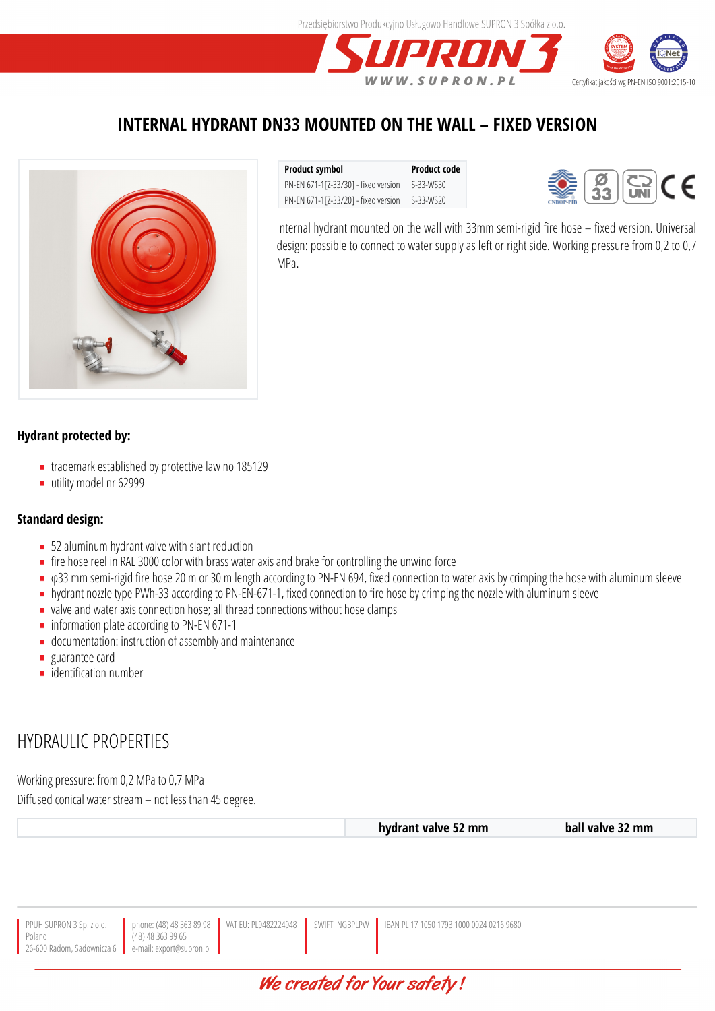

### **INTERNAL HYDRANT DN33 MOUNTED ON THE WALL – FIXED VERSION**



**Product symbol Product code** PN-EN 671-1[Z-33/30] - fixed version S-33-WS30 PN-EN 671-1[Z-33/20] - fixed version S-33-WS20



Internal hydrant mounted on the wall with 33mm semi-rigid fire hose – fixed version. Universal design: possible to connect to water supply as left or right side. Working pressure from 0,2 to 0,7 MPa.

### **Hydrant protected by:**

- trademark established by protective law no 185129
- utility model nr 62999

#### **Standard design:**

- 52 aluminum hydrant valve with slant reduction
- $\blacksquare$  fire hose reel in RAL 3000 color with brass water axis and brake for controlling the unwind force
- φ33 mm semi-rigid fire hose 20 m or 30 m length according to PN-EN 694, fixed connection to water axis by crimping the hose with aluminum sleeve
- **hydrant nozzle type PWh-33 according to PN-EN-671-1, fixed connection to fire hose by crimping the nozzle with aluminum sleeve**
- valve and water axis connection hose; all thread connections without hose clamps
- **n** information plate according to PN-EN 671-1
- documentation: instruction of assembly and maintenance
- **guarantee card**
- **identification number**

## HYDRAULIC PROPERTIES

Working pressure: from 0,2 MPa to 0,7 MPa

Diffused conical water stream – not less than 45 degree.

|                                                                                                                                                                                                |  | hydrant valve 52 mm | ball valve 32 mm |
|------------------------------------------------------------------------------------------------------------------------------------------------------------------------------------------------|--|---------------------|------------------|
|                                                                                                                                                                                                |  |                     |                  |
|                                                                                                                                                                                                |  |                     |                  |
|                                                                                                                                                                                                |  |                     |                  |
|                                                                                                                                                                                                |  |                     |                  |
|                                                                                                                                                                                                |  |                     |                  |
| PPUH SUPRON 3 Sp. z o.o. by phone: (48) 48 363 89 98 VAT EU: PL9482224948 SWIFT INGBPLPW BAN PL 17 1050 1793 1000 0024 0216 9680 Poland<br>26-600 Radom, Sadownicza 6 e-mail: export@supron.pl |  |                     |                  |
|                                                                                                                                                                                                |  |                     |                  |

## We created for Your safety!